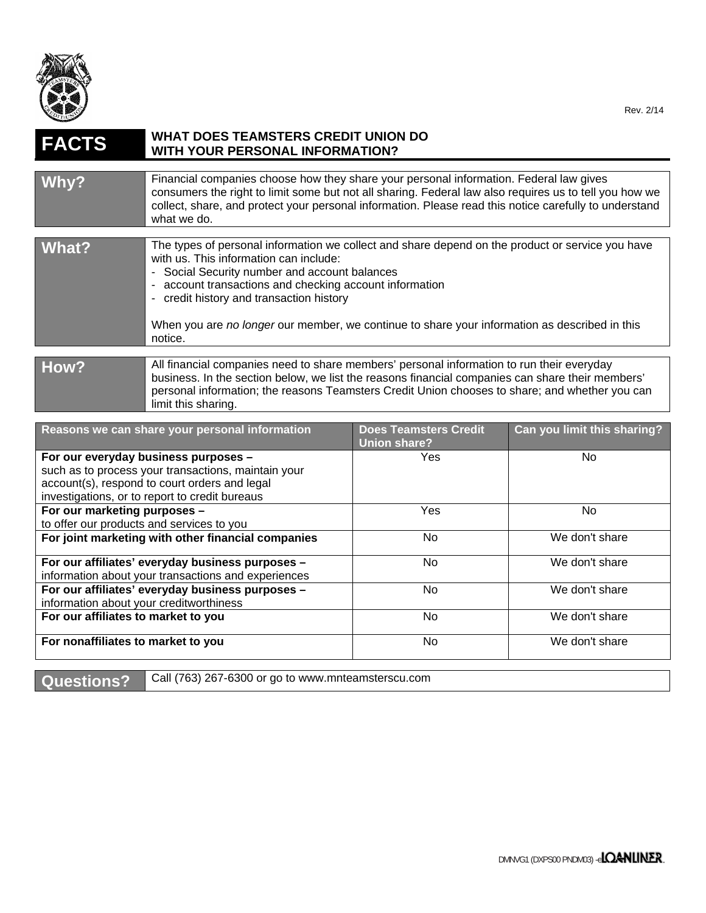

| <b>FACTS</b>                                                                                                                                                                                   | <b>WHAT DOES TEAMSTERS CREDIT UNION DO</b><br><b>WITH YOUR PERSONAL INFORMATION?</b>                                                                                                                                                                                                                                                                                                                           |                                                     |                             |
|------------------------------------------------------------------------------------------------------------------------------------------------------------------------------------------------|----------------------------------------------------------------------------------------------------------------------------------------------------------------------------------------------------------------------------------------------------------------------------------------------------------------------------------------------------------------------------------------------------------------|-----------------------------------------------------|-----------------------------|
| Why?                                                                                                                                                                                           | Financial companies choose how they share your personal information. Federal law gives<br>consumers the right to limit some but not all sharing. Federal law also requires us to tell you how we<br>collect, share, and protect your personal information. Please read this notice carefully to understand<br>what we do.                                                                                      |                                                     |                             |
| <b>What?</b>                                                                                                                                                                                   | The types of personal information we collect and share depend on the product or service you have<br>with us. This information can include:<br>- Social Security number and account balances<br>- account transactions and checking account information<br>- credit history and transaction history<br>When you are no longer our member, we continue to share your information as described in this<br>notice. |                                                     |                             |
| How?                                                                                                                                                                                           | All financial companies need to share members' personal information to run their everyday<br>business. In the section below, we list the reasons financial companies can share their members'<br>personal information; the reasons Teamsters Credit Union chooses to share; and whether you can<br>limit this sharing.                                                                                         |                                                     |                             |
|                                                                                                                                                                                                | Reasons we can share your personal information                                                                                                                                                                                                                                                                                                                                                                 | <b>Does Teamsters Credit</b><br><b>Union share?</b> | Can you limit this sharing? |
| For our everyday business purposes -<br>such as to process your transactions, maintain your<br>account(s), respond to court orders and legal<br>investigations, or to report to credit bureaus |                                                                                                                                                                                                                                                                                                                                                                                                                | Yes                                                 | No                          |
| For our marketing purposes -<br>to offer our products and services to you                                                                                                                      |                                                                                                                                                                                                                                                                                                                                                                                                                | Yes                                                 | <b>No</b>                   |
| For joint marketing with other financial companies                                                                                                                                             |                                                                                                                                                                                                                                                                                                                                                                                                                | No                                                  | We don't share              |
| For our affiliates' everyday business purposes -<br>information about your transactions and experiences                                                                                        |                                                                                                                                                                                                                                                                                                                                                                                                                | <b>No</b>                                           | We don't share              |
| For our affiliates' everyday business purposes -<br>information about your creditworthiness                                                                                                    |                                                                                                                                                                                                                                                                                                                                                                                                                | No                                                  | We don't share              |

**For nonaffiliates to market to you <br>
No We don't share** 

**Questions?** Call (763) 267-6300 or go to www.mnteamsterscu.com

**For our affiliates to market to you** No We don't share